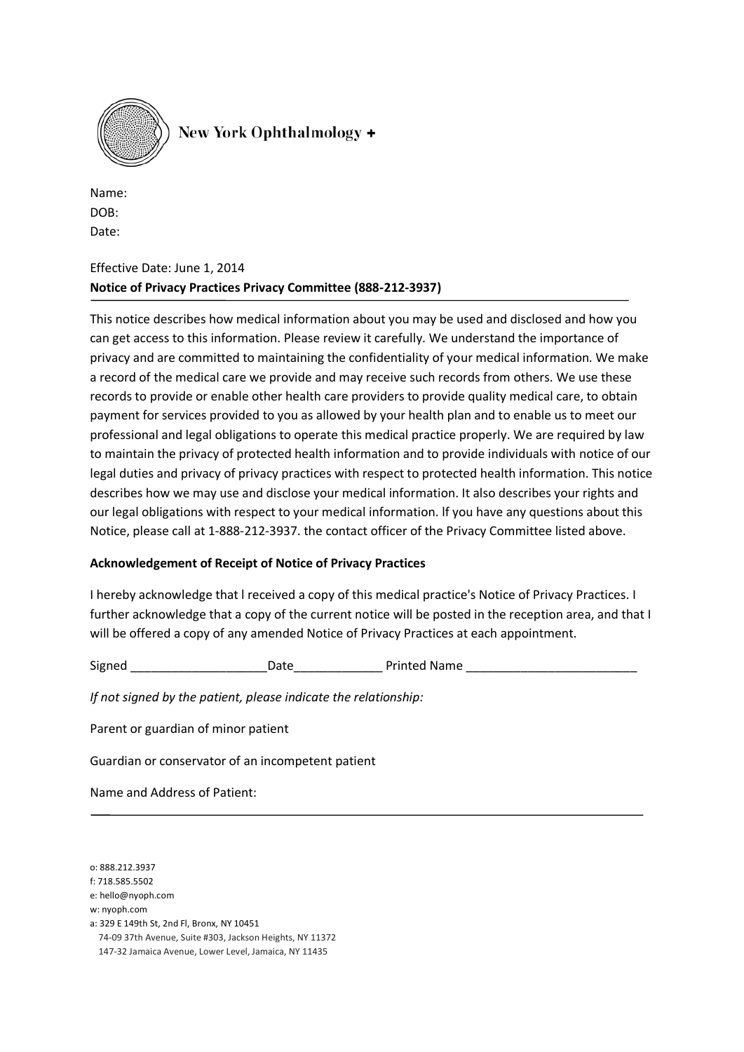

Name: DOB: Date:

### Effective Date: June 1, 2014 **Notice of Privacy Practices Privacy Committee (888-212-3937)**

This notice describes how medical information about you may be used and disclosed and how you can get access to this information. Please review it carefully. We understand the importance of privacy and are committed to maintaining the confidentiality of your medical information. We make a record of the medical care we provide and may receive such records from others. We use these records to provide or enable other health care providers to provide quality medical care, to obtain payment for services provided to you as allowed by your health plan and to enable us to meet our professional and legal obligations to operate this medical practice properly. We are required by law to maintain the privacy of protected health information and to provide individuals with notice of our legal duties and privacy of privacy practices with respect to protected health information. This notice describes how we may use and disclose your medical information. It also describes your rights and our legal obligations with respect to your medical information. lf you have any questions about this Notice, please call at 1-888-212-3937. the contact officer of the Privacy Committee listed above.

#### **Acknowledgement of Receipt of Notice of Privacy Practices**

I hereby acknowledge that l received a copy of this medical practice's Notice of Privacy Practices. I further acknowledge that a copy of the current notice will be posted in the reception area, and that I will be offered a copy of any amended Notice of Privacy Practices at each appointment.

Signed \_\_\_\_\_\_\_\_\_\_\_\_\_\_\_\_\_\_\_\_Date\_\_\_\_\_\_\_\_\_\_\_\_\_ Printed Name \_\_\_\_\_\_\_\_\_\_\_\_\_\_\_\_\_\_\_\_\_\_\_\_\_

*If not signed by the patient, please indicate the relationship:*

Parent or guardian of minor patient

Guardian or conservator of an incompetent patient

Name and Address of Patient:

o: 888.212.3937

f: 718.585.5502

e: hello@nyoph.com

w: nyoph.com

a: 329 E 149th St, 2nd Fl, Bronx, NY 10451 74-09 37th Avenue, Suite #303, Jackson Heights, NY 11372 147-32 Jamaica Avenue, Lower Level, Jamaica, NY 11435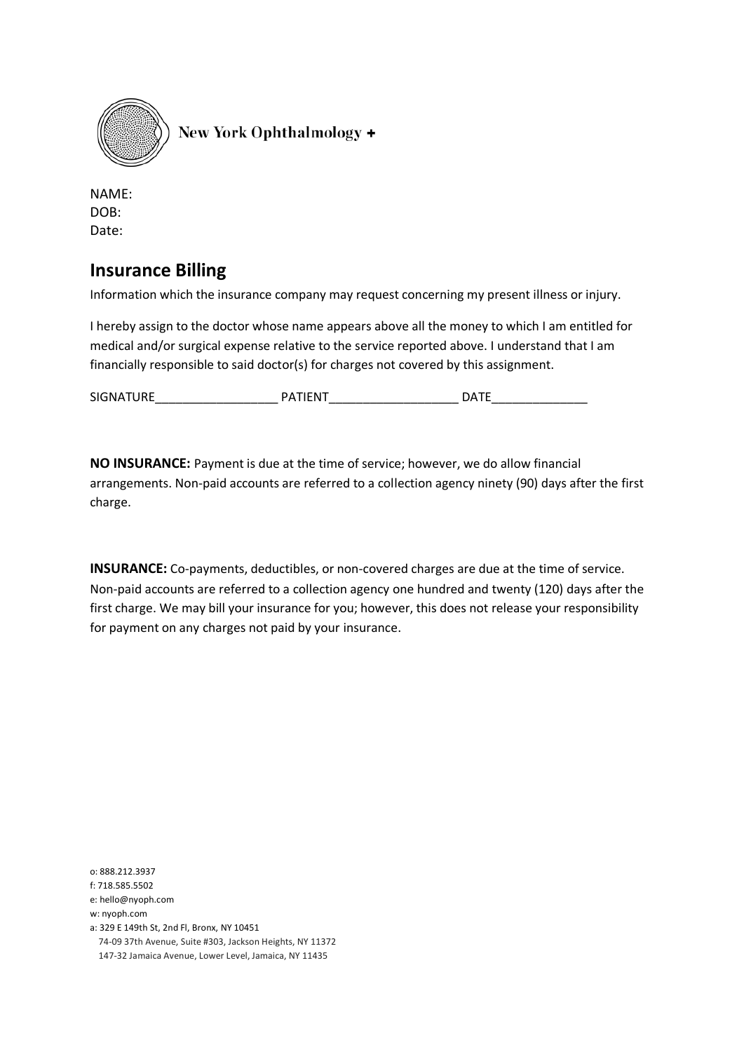

NAME: DOB: Date:

# **Insurance Billing**

Information which the insurance company may request concerning my present illness or injury.

I hereby assign to the doctor whose name appears above all the money to which I am entitled for medical and/or surgical expense relative to the service reported above. I understand that I am financially responsible to said doctor(s) for charges not covered by this assignment.

SIGNATURE\_\_\_\_\_\_\_\_\_\_\_\_\_\_\_\_\_\_ PATIENT\_\_\_\_\_\_\_\_\_\_\_\_\_\_\_\_\_\_\_ DATE\_\_\_\_\_\_\_\_\_\_\_\_\_\_

**NO INSURANCE:** Payment is due at the time of service; however, we do allow financial arrangements. Non-paid accounts are referred to a collection agency ninety (90) days after the first charge.

**INSURANCE:** Co-payments, deductibles, or non-covered charges are due at the time of service. Non-paid accounts are referred to a collection agency one hundred and twenty (120) days after the first charge. We may bill your insurance for you; however, this does not release your responsibility for payment on any charges not paid by your insurance.

o: 888.212.3937 f: 718.585.5502 e: hello@nyoph.com w: nyoph.com a: 329 E 149th St, 2nd Fl, Bronx, NY 10451 74-09 37th Avenue, Suite #303, Jackson Heights, NY 11372 147-32 Jamaica Avenue, Lower Level, Jamaica, NY 11435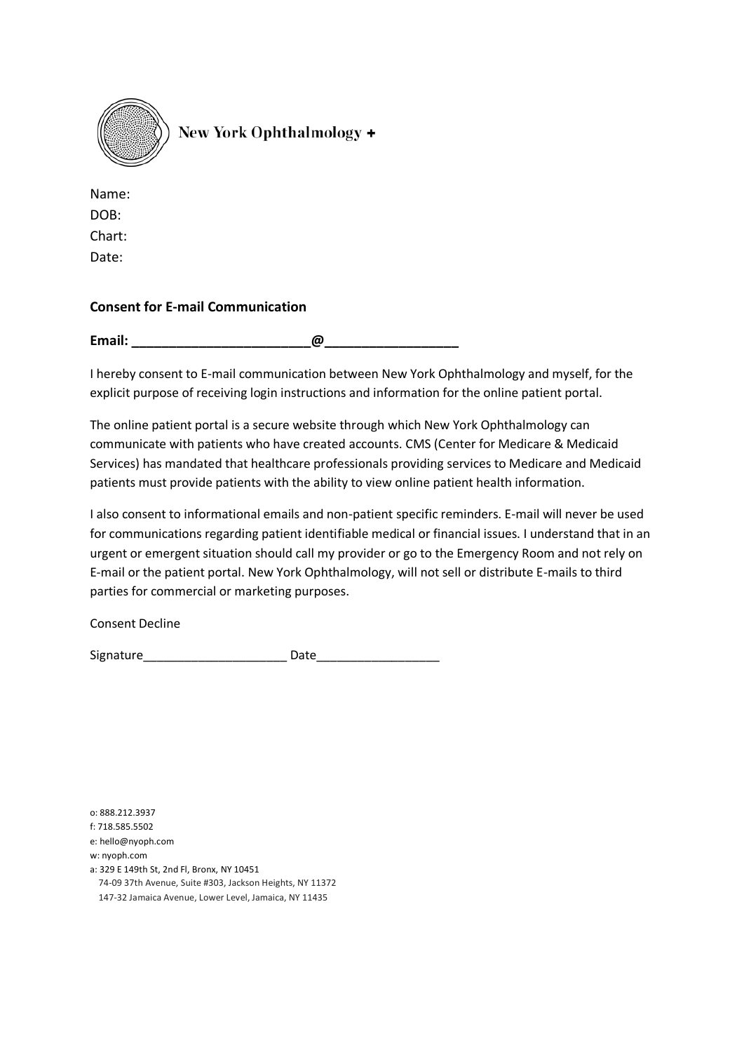

Name: DOB: Chart: Date:

### **Consent for E-mail Communication**

**Email:** 2008. 2009. 2009. 2009. 2009. 2009. 2009. 2009. 2009. 2009. 2009. 2009. 2009. 2009. 2009. 2009. 2009. 2009. 2009. 2009. 2009. 2009. 2009. 2009. 2009. 2009. 2009. 2009. 2009. 2009. 2009. 2009. 2009. 2009. 2009. 200

I hereby consent to E-mail communication between New York Ophthalmology and myself, for the explicit purpose of receiving login instructions and information for the online patient portal.

The online patient portal is a secure website through which New York Ophthalmology can communicate with patients who have created accounts. CMS (Center for Medicare & Medicaid Services) has mandated that healthcare professionals providing services to Medicare and Medicaid patients must provide patients with the ability to view online patient health information.

I also consent to informational emails and non-patient specific reminders. E-mail will never be used for communications regarding patient identifiable medical or financial issues. I understand that in an urgent or emergent situation should call my provider or go to the Emergency Room and not rely on E-mail or the patient portal. New York Ophthalmology, will not sell or distribute E-mails to third parties for commercial or marketing purposes.

Consent Decline

Signature\_\_\_\_\_\_\_\_\_\_\_\_\_\_\_\_\_\_\_\_\_\_\_\_\_\_\_\_\_\_\_ Date\_\_\_\_\_\_\_\_\_\_\_\_\_\_\_\_\_\_\_\_\_\_\_\_\_\_\_\_\_\_\_\_\_\_\_

o: 888.212.3937

f: 718.585.5502

e: hello@nyoph.com

w: nyoph.com

a: 329 E 149th St, 2nd Fl, Bronx, NY 10451

74-09 37th Avenue, Suite #303, Jackson Heights, NY 11372

147-32 Jamaica Avenue, Lower Level, Jamaica, NY 11435